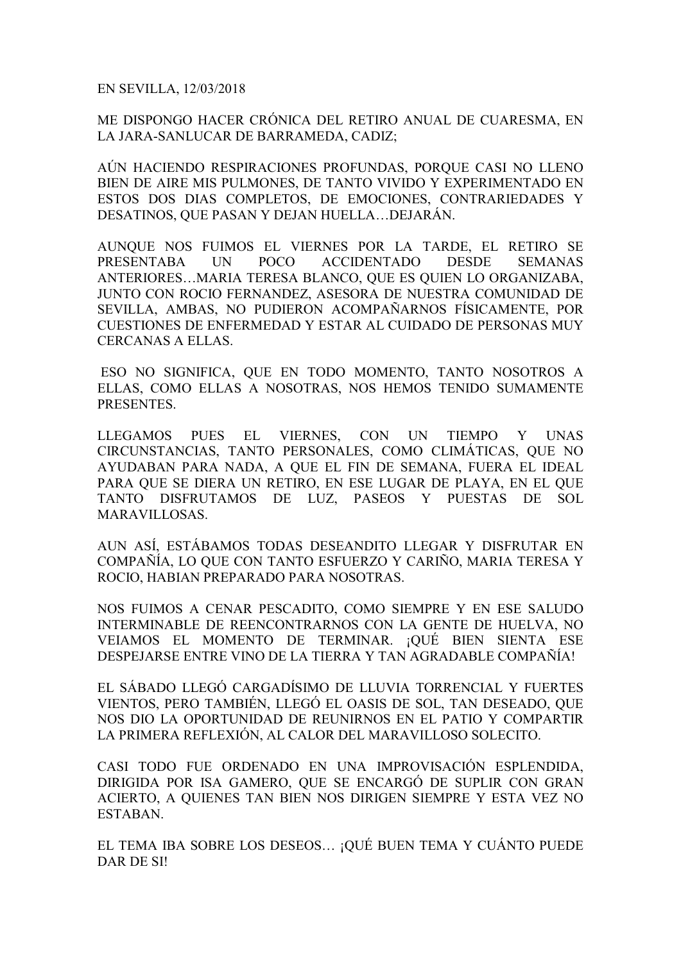EN SEVILLA, 12/03/2018

ME DISPONGO HACER CRÓNICA DEL RETIRO ANUAL DE CUARESMA, EN LA JARA-SANLUCAR DE BARRAMEDA, CADIZ;

AÚN HACIENDO RESPIRACIONES PROFUNDAS, PORQUE CASI NO LLENO BIEN DE AIRE MIS PULMONES, DE TANTO VIVIDO Y EXPERIMENTADO EN ESTOS DOS DIAS COMPLETOS, DE EMOCIONES, CONTRARIEDADES Y DESATINOS, QUE PASAN Y DEJAN HUELLA…DEJARÁN.

AUNQUE NOS FUIMOS EL VIERNES POR LA TARDE, EL RETIRO SE PRESENTABA UN POCO ACCIDENTADO DESDE SEMANAS ANTERIORES…MARIA TERESA BLANCO, QUE ES QUIEN LO ORGANIZABA, JUNTO CON ROCIO FERNANDEZ, ASESORA DE NUESTRA COMUNIDAD DE SEVILLA, AMBAS, NO PUDIERON ACOMPAÑARNOS FÍSICAMENTE, POR CUESTIONES DE ENFERMEDAD Y ESTAR AL CUIDADO DE PERSONAS MUY CERCANAS A ELLAS.

 ESO NO SIGNIFICA, QUE EN TODO MOMENTO, TANTO NOSOTROS A ELLAS, COMO ELLAS A NOSOTRAS, NOS HEMOS TENIDO SUMAMENTE PRESENTES.

LLEGAMOS PUES EL VIERNES, CON UN TIEMPO Y UNAS CIRCUNSTANCIAS, TANTO PERSONALES, COMO CLIMÁTICAS, QUE NO AYUDABAN PARA NADA, A QUE EL FIN DE SEMANA, FUERA EL IDEAL PARA QUE SE DIERA UN RETIRO, EN ESE LUGAR DE PLAYA, EN EL QUE TANTO DISFRUTAMOS DE LUZ, PASEOS Y PUESTAS DE SOL MARAVILLOSAS.

AUN ASÍ, ESTÁBAMOS TODAS DESEANDITO LLEGAR Y DISFRUTAR EN COMPAÑÍA, LO QUE CON TANTO ESFUERZO Y CARIÑO, MARIA TERESA Y ROCIO, HABIAN PREPARADO PARA NOSOTRAS.

NOS FUIMOS A CENAR PESCADITO, COMO SIEMPRE Y EN ESE SALUDO INTERMINABLE DE REENCONTRARNOS CON LA GENTE DE HUELVA, NO VEIAMOS EL MOMENTO DE TERMINAR. ¡QUÉ BIEN SIENTA ESE DESPEJARSE ENTRE VINO DE LA TIERRA Y TAN AGRADABLE COMPAÑÍA!

EL SÁBADO LLEGÓ CARGADÍSIMO DE LLUVIA TORRENCIAL Y FUERTES VIENTOS, PERO TAMBIÉN, LLEGÓ EL OASIS DE SOL, TAN DESEADO, QUE NOS DIO LA OPORTUNIDAD DE REUNIRNOS EN EL PATIO Y COMPARTIR LA PRIMERA REFLEXIÓN, AL CALOR DEL MARAVILLOSO SOLECITO.

CASI TODO FUE ORDENADO EN UNA IMPROVISACIÓN ESPLENDIDA, DIRIGIDA POR ISA GAMERO, QUE SE ENCARGÓ DE SUPLIR CON GRAN ACIERTO, A QUIENES TAN BIEN NOS DIRIGEN SIEMPRE Y ESTA VEZ NO ESTABAN.

EL TEMA IBA SOBRE LOS DESEOS… ¡QUÉ BUEN TEMA Y CUÁNTO PUEDE DAR DE SI!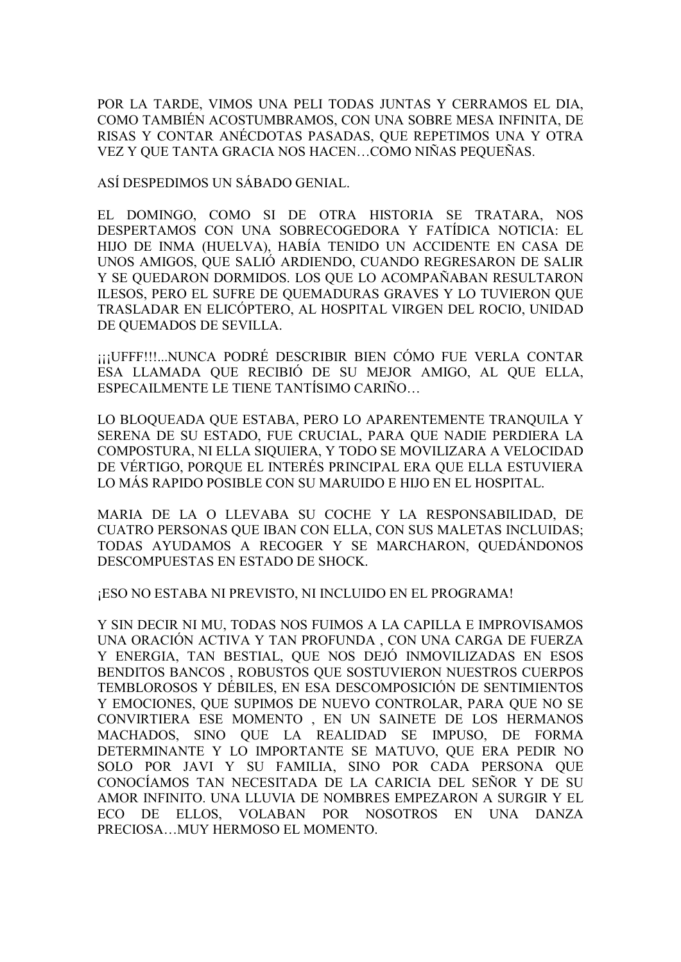POR LA TARDE, VIMOS UNA PELI TODAS JUNTAS Y CERRAMOS EL DIA, COMO TAMBIÉN ACOSTUMBRAMOS, CON UNA SOBRE MESA INFINITA, DE RISAS Y CONTAR ANÉCDOTAS PASADAS, QUE REPETIMOS UNA Y OTRA VEZ Y QUE TANTA GRACIA NOS HACEN…COMO NIÑAS PEQUEÑAS.

ASÍ DESPEDIMOS UN SÁBADO GENIAL.

EL DOMINGO, COMO SI DE OTRA HISTORIA SE TRATARA, NOS DESPERTAMOS CON UNA SOBRECOGEDORA Y FATÍDICA NOTICIA: EL HIJO DE INMA (HUELVA), HABÍA TENIDO UN ACCIDENTE EN CASA DE UNOS AMIGOS, QUE SALIÓ ARDIENDO, CUANDO REGRESARON DE SALIR Y SE QUEDARON DORMIDOS. LOS QUE LO ACOMPAÑABAN RESULTARON ILESOS, PERO EL SUFRE DE QUEMADURAS GRAVES Y LO TUVIERON QUE TRASLADAR EN ELICÓPTERO, AL HOSPITAL VIRGEN DEL ROCIO, UNIDAD DE QUEMADOS DE SEVILLA.

¡¡¡UFFF!!!...NUNCA PODRÉ DESCRIBIR BIEN CÓMO FUE VERLA CONTAR ESA LLAMADA QUE RECIBIÓ DE SU MEJOR AMIGO, AL QUE ELLA, ESPECAILMENTE LE TIENE TANTÍSIMO CARIÑO…

LO BLOQUEADA QUE ESTABA, PERO LO APARENTEMENTE TRANQUILA Y SERENA DE SU ESTADO, FUE CRUCIAL, PARA QUE NADIE PERDIERA LA COMPOSTURA, NI ELLA SIQUIERA, Y TODO SE MOVILIZARA A VELOCIDAD DE VÉRTIGO, PORQUE EL INTERÉS PRINCIPAL ERA QUE ELLA ESTUVIERA LO MÁS RAPIDO POSIBLE CON SU MARUIDO E HIJO EN EL HOSPITAL.

MARIA DE LA O LLEVABA SU COCHE Y LA RESPONSABILIDAD, DE CUATRO PERSONAS QUE IBAN CON ELLA, CON SUS MALETAS INCLUIDAS; TODAS AYUDAMOS A RECOGER Y SE MARCHARON, QUEDÁNDONOS DESCOMPUESTAS EN ESTADO DE SHOCK.

¡ESO NO ESTABA NI PREVISTO, NI INCLUIDO EN EL PROGRAMA!

Y SIN DECIR NI MU, TODAS NOS FUIMOS A LA CAPILLA E IMPROVISAMOS UNA ORACIÓN ACTIVA Y TAN PROFUNDA , CON UNA CARGA DE FUERZA Y ENERGIA, TAN BESTIAL, QUE NOS DEJÓ INMOVILIZADAS EN ESOS BENDITOS BANCOS , ROBUSTOS QUE SOSTUVIERON NUESTROS CUERPOS TEMBLOROSOS Y DÉBILES, EN ESA DESCOMPOSICIÓN DE SENTIMIENTOS Y EMOCIONES, QUE SUPIMOS DE NUEVO CONTROLAR, PARA QUE NO SE CONVIRTIERA ESE MOMENTO , EN UN SAINETE DE LOS HERMANOS MACHADOS, SINO QUE LA REALIDAD SE IMPUSO, DE FORMA DETERMINANTE Y LO IMPORTANTE SE MATUVO, QUE ERA PEDIR NO SOLO POR JAVI Y SU FAMILIA, SINO POR CADA PERSONA QUE CONOCÍAMOS TAN NECESITADA DE LA CARICIA DEL SEÑOR Y DE SU AMOR INFINITO. UNA LLUVIA DE NOMBRES EMPEZARON A SURGIR Y EL ECO DE ELLOS, VOLABAN POR NOSOTROS EN UNA DANZA PRECIOSA…MUY HERMOSO EL MOMENTO.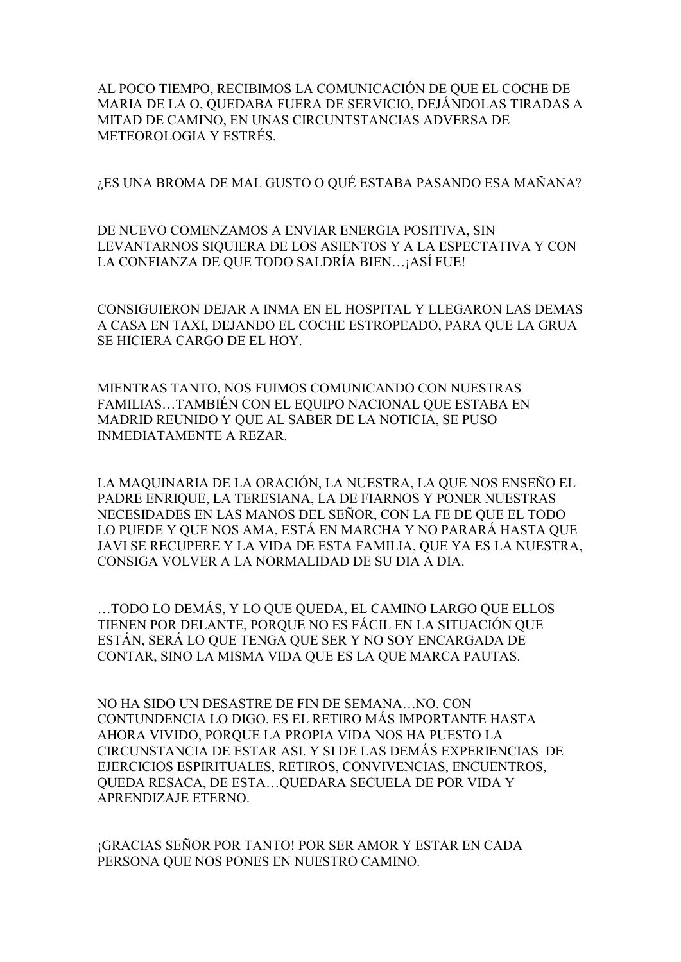AL POCO TIEMPO, RECIBIMOS LA COMUNICACIÓN DE QUE EL COCHE DE MARIA DE LA O, QUEDABA FUERA DE SERVICIO, DEJÁNDOLAS TIRADAS A MITAD DE CAMINO, EN UNAS CIRCUNTSTANCIAS ADVERSA DE METEOROLOGIA Y ESTRÉS.

¿ES UNA BROMA DE MAL GUSTO O QUÉ ESTABA PASANDO ESA MAÑANA?

DE NUEVO COMENZAMOS A ENVIAR ENERGIA POSITIVA, SIN LEVANTARNOS SIQUIERA DE LOS ASIENTOS Y A LA ESPECTATIVA Y CON LA CONFIANZA DE QUE TODO SALDRÍA BIEN…¡ASÍ FUE!

CONSIGUIERON DEJAR A INMA EN EL HOSPITAL Y LLEGARON LAS DEMAS A CASA EN TAXI, DEJANDO EL COCHE ESTROPEADO, PARA QUE LA GRUA SE HICIERA CARGO DE EL HOY.

MIENTRAS TANTO, NOS FUIMOS COMUNICANDO CON NUESTRAS FAMILIAS…TAMBIÉN CON EL EQUIPO NACIONAL QUE ESTABA EN MADRID REUNIDO Y QUE AL SABER DE LA NOTICIA, SE PUSO INMEDIATAMENTE A REZAR.

LA MAQUINARIA DE LA ORACIÓN, LA NUESTRA, LA QUE NOS ENSEÑO EL PADRE ENRIQUE, LA TERESIANA, LA DE FIARNOS Y PONER NUESTRAS NECESIDADES EN LAS MANOS DEL SEÑOR, CON LA FE DE QUE EL TODO LO PUEDE Y QUE NOS AMA, ESTÁ EN MARCHA Y NO PARARÁ HASTA QUE JAVI SE RECUPERE Y LA VIDA DE ESTA FAMILIA, QUE YA ES LA NUESTRA, CONSIGA VOLVER A LA NORMALIDAD DE SU DIA A DIA.

…TODO LO DEMÁS, Y LO QUE QUEDA, EL CAMINO LARGO QUE ELLOS TIENEN POR DELANTE, PORQUE NO ES FÁCIL EN LA SITUACIÓN QUE ESTÁN, SERÁ LO QUE TENGA QUE SER Y NO SOY ENCARGADA DE CONTAR, SINO LA MISMA VIDA QUE ES LA QUE MARCA PAUTAS.

NO HA SIDO UN DESASTRE DE FIN DE SEMANA…NO. CON CONTUNDENCIA LO DIGO. ES EL RETIRO MÁS IMPORTANTE HASTA AHORA VIVIDO, PORQUE LA PROPIA VIDA NOS HA PUESTO LA CIRCUNSTANCIA DE ESTAR ASI. Y SI DE LAS DEMÁS EXPERIENCIAS DE EJERCICIOS ESPIRITUALES, RETIROS, CONVIVENCIAS, ENCUENTROS, QUEDA RESACA, DE ESTA…QUEDARA SECUELA DE POR VIDA Y APRENDIZAJE ETERNO.

¡GRACIAS SEÑOR POR TANTO! POR SER AMOR Y ESTAR EN CADA PERSONA QUE NOS PONES EN NUESTRO CAMINO.